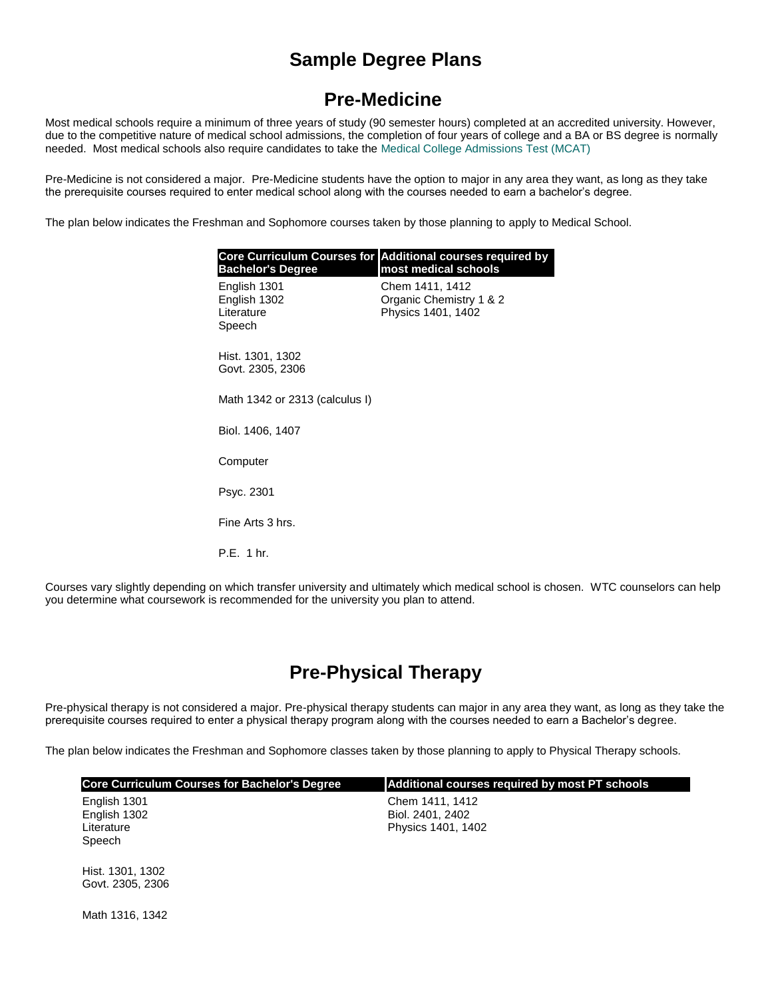# **Sample Degree Plans**

### **Pre-Medicine**

Most medical schools require a minimum of three years of study (90 semester hours) completed at an accredited university. However, due to the competitive nature of medical school admissions, the completion of four years of college and a BA or BS degree is normally needed. Most medical schools also require candidates to take the [Medical College Admissions Test \(MCAT\)](http://www.aamc.org/students/mcat/)

Pre-Medicine is not considered a major. Pre-Medicine students have the option to major in any area they want, as long as they take the prerequisite courses required to enter medical school along with the courses needed to earn a bachelor's degree.

The plan below indicates the Freshman and Sophomore courses taken by those planning to apply to Medical School.

| <b>Bachelor's Degree</b>                             | <b>Core Curriculum Courses for Additional courses required by</b><br>most medical schools |
|------------------------------------------------------|-------------------------------------------------------------------------------------------|
| English 1301<br>English 1302<br>Literature<br>Speech | Chem 1411, 1412<br>Organic Chemistry 1 & 2<br>Physics 1401, 1402                          |
| Hist. 1301, 1302<br>Govt. 2305, 2306                 |                                                                                           |
| Math 1342 or 2313 (calculus I)                       |                                                                                           |
| Biol. 1406, 1407                                     |                                                                                           |
| Computer                                             |                                                                                           |
| Psyc. 2301                                           |                                                                                           |
| Fine Arts 3 hrs.                                     |                                                                                           |
| P.E. 1 hr.                                           |                                                                                           |
|                                                      |                                                                                           |

Courses vary slightly depending on which transfer university and ultimately which medical school is chosen. WTC counselors can help you determine what coursework is recommended for the university you plan to attend.

# **Pre-Physical Therapy**

Pre-physical therapy is not considered a major. Pre-physical therapy students can major in any area they want, as long as they take the prerequisite courses required to enter a physical therapy program along with the courses needed to earn a Bachelor's degree.

The plan below indicates the Freshman and Sophomore classes taken by those planning to apply to Physical Therapy schools.

| <b>Core Curriculum Courses for Bachelor's Degree</b> | <b>Additional courses required by most PT schools</b>     |
|------------------------------------------------------|-----------------------------------------------------------|
| English 1301<br>English 1302<br>Literature<br>Speech | Chem 1411, 1412<br>Biol. 2401, 2402<br>Physics 1401, 1402 |
| Hist. 1301, 1302<br>Govt. 2305, 2306                 |                                                           |

Math 1316, 1342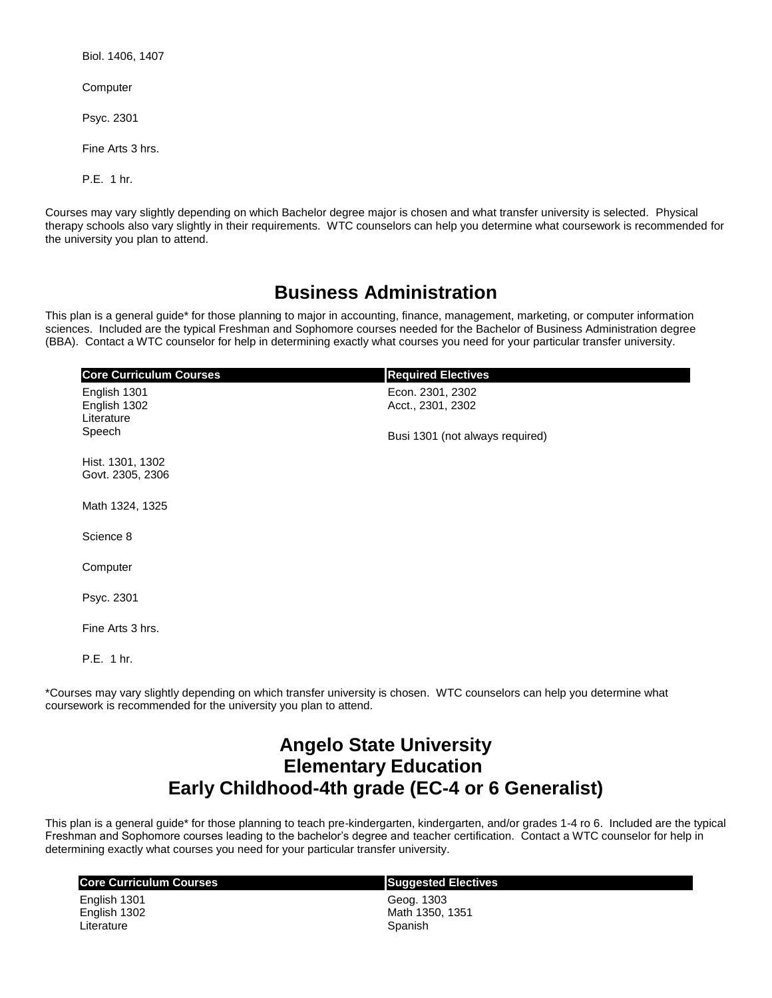Biol. 1406, 1407

**Computer** 

Psyc. 2301

Fine Arts 3 hrs.

P.E. 1 hr.

Courses may vary slightly depending on which Bachelor degree major is chosen and what transfer university is selected. Physical therapy schools also vary slightly in their requirements. WTC counselors can help you determine what coursework is recommended for the university you plan to attend.

#### **Business Administration**

This plan is a general guide\* for those planning to major in accounting, finance, management, marketing, or computer information sciences. Included are the typical Freshman and Sophomore courses needed for the Bachelor of Business Administration degree (BBA). Contact a WTC counselor for help in determining exactly what courses you need for your particular transfer university.

| <b>Core Curriculum Courses</b>                       | <b>Required Electives</b>             |
|------------------------------------------------------|---------------------------------------|
| English 1301<br>English 1302<br>Literature<br>Speech | Econ. 2301, 2302<br>Acct., 2301, 2302 |
|                                                      | Busi 1301 (not always required)       |
| Hist. 1301, 1302<br>Govt. 2305, 2306                 |                                       |
| Math 1324, 1325                                      |                                       |
| Science 8                                            |                                       |
| Computer                                             |                                       |
| Psyc. 2301                                           |                                       |
| Fine Arts 3 hrs.                                     |                                       |
| P.E. 1 hr.                                           |                                       |

\*Courses may vary slightly depending on which transfer university is chosen. WTC counselors can help you determine what coursework is recommended for the university you plan to attend.

## **Angelo State University Elementary Education Early Childhood-4th grade (EC-4 or 6 Generalist)**

This plan is a general guide\* for those planning to teach pre-kindergarten, kindergarten, and/or grades 1-4 ro 6. Included are the typical Freshman and Sophomore courses leading to the bachelor's degree and teacher certification. Contact a WTC counselor for help in determining exactly what courses you need for your particular transfer university.

| <b>Core Curriculum Courses</b> | <b>Suggested Electives</b> |
|--------------------------------|----------------------------|
| English 1301                   | Geog. 1303                 |
| English 1302                   | Math 1350, 1351            |
| Literature                     | Spanish                    |